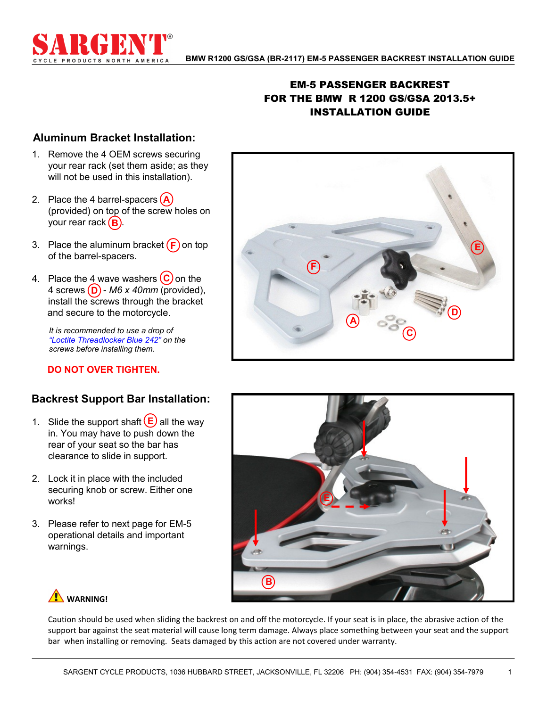

## EM-5 PASSENGER BACKREST FOR THE BMW R 1200 GS/GSA 2013.5+ INSTALLATION GUIDE

## **Aluminum Bracket Installation:**

- 1. Remove the 4 OEM screws securing your rear rack (set them aside; as they will not be used in this installation).
- **A** 2. Place the 4 barrel-spacers your rear rack (**B**). (provided) on top of the screw holes on
- 3. Place the aluminum bracket  $(F)$  on top of the barrel-spacers.
- 4 screws (**D**) *M6 x 40mm* (provided), 4. Place the  $4$  wave washers  $\left(\frac{c}{c}\right)$  on the install the screws through the bracket and secure to the motorcycle.

*It is recommended to use a drop of "Loctite Threadlocker Blue 242" on the screws before installing them.*

### **DO NOT OVER TIGHTEN.**

## **Backrest Support Bar Installation:**

- 1. Slide the support shaft  $\left(\frac{E}{2}\right)$  all the way in. You may have to push down the rear of your seat so the bar has clearance to slide in support.
- 2. Lock it in place with the included securing knob or screw. Either one works!
- 3. Please refer to next page for EM-5 operational details and important warnings.





# **WARNING!**

Caution should be used when sliding the backrest on and off the motorcycle. If your seat is in place, the abrasive action of the support bar against the seat material will cause long term damage. Always place something between your seat and the support bar when installing or removing. Seats damaged by this action are not covered under warranty.